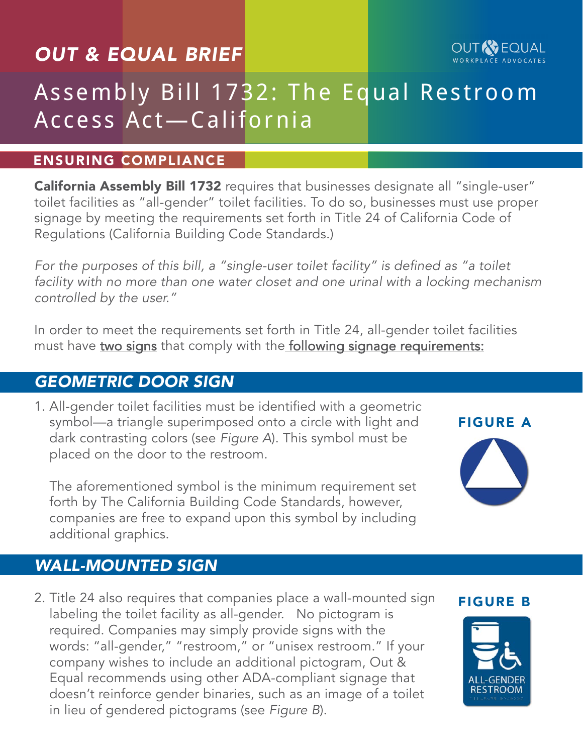## *OUT & EQUAL BRIEF*

# Assembly Bill 1732: The Equal Restroom Access Act—California

#### ENSURING COMPLIANCE

[California Assembly Bill 1732](https://leginfo.legislature.ca.gov/faces/billNavClient.xhtml?bill_id=201520160AB1732) requires that businesses designate all "single-user" toilet facilities as "all-gender" toilet facilities. To do so, businesses must use proper signage by meeting the requirements set forth in Title 24 of California Code of Regulations (California Building Code Standards.)

For the purposes of this bill, a "single-user toilet facility" is defined as "a toilet *facility with no more than one water closet and one urinal with a locking mechanism controlled by the user."*

In order to meet the requirements set forth in Title 24, all-gender toilet facilities must have [two signs](https://www.dwt.com/Single-User-Restrooms-in-California-Must-Be-Designated-As-All-Gender-03-13-2017/) that comply with the [following signage requirements:](https://www.documents.dgs.ca.gov/dsa/bulletins/BU_17-01.pdf)

### *GEOMETRIC DOOR SIGN*

1. All-gender toilet facilities must be identified with a geometric symbol—a triangle superimposed onto a circle with light and dark contrasting colors (see *Figure A*). This symbol must be placed on the door to the restroom.

The aforementioned symbol is the minimum requirement set forth by The California Building Code Standards, however, companies are free to expand upon this symbol by including additional graphics.

# *WALL-MOUNTED SIGN*

2. Title 24 also requires that companies place a wall-mounted sign labeling the toilet facility as all-gender. No pictogram is required. Companies may simply provide signs with the words: "all-gender," "restroom," or "unisex restroom." If your company wishes to include an additional pictogram, Out & Equal recommends using other ADA-compliant signage that doesn't reinforce gender binaries, such as an image of a toilet in lieu of gendered pictograms (see *Figure B*).

#### FIGURE B



### FIGURE A